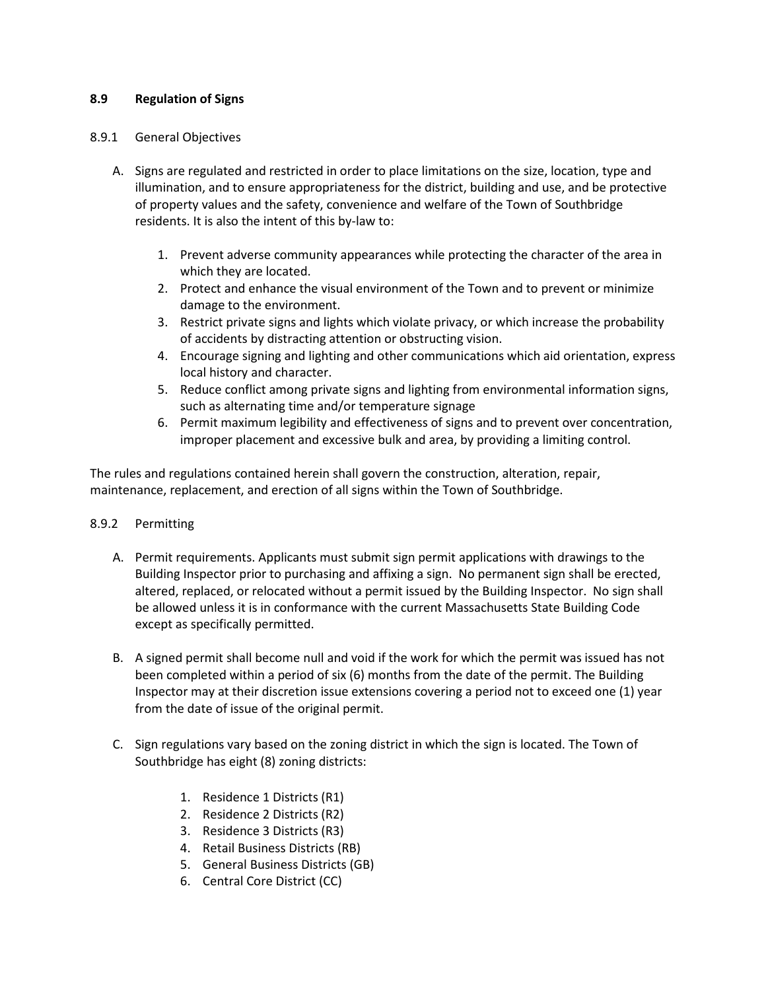### **8.9 Regulation of Signs**

#### 8.9.1 General Objectives

- A. Signs are regulated and restricted in order to place limitations on the size, location, type and illumination, and to ensure appropriateness for the district, building and use, and be protective of property values and the safety, convenience and welfare of the Town of Southbridge residents. It is also the intent of this by-law to:
	- 1. Prevent adverse community appearances while protecting the character of the area in which they are located.
	- 2. Protect and enhance the visual environment of the Town and to prevent or minimize damage to the environment.
	- 3. Restrict private signs and lights which violate privacy, or which increase the probability of accidents by distracting attention or obstructing vision.
	- 4. Encourage signing and lighting and other communications which aid orientation, express local history and character.
	- 5. Reduce conflict among private signs and lighting from environmental information signs, such as alternating time and/or temperature signage
	- 6. Permit maximum legibility and effectiveness of signs and to prevent over concentration, improper placement and excessive bulk and area, by providing a limiting control.

The rules and regulations contained herein shall govern the construction, alteration, repair, maintenance, replacement, and erection of all signs within the Town of Southbridge.

# 8.9.2 Permitting

- A. Permit requirements. Applicants must submit sign permit applications with drawings to the Building Inspector prior to purchasing and affixing a sign. No permanent sign shall be erected, altered, replaced, or relocated without a permit issued by the Building Inspector. No sign shall be allowed unless it is in conformance with the current Massachusetts State Building Code except as specifically permitted.
- B. A signed permit shall become null and void if the work for which the permit was issued has not been completed within a period of six (6) months from the date of the permit. The Building Inspector may at their discretion issue extensions covering a period not to exceed one (1) year from the date of issue of the original permit.
- C. Sign regulations vary based on the zoning district in which the sign is located. The Town of Southbridge has eight (8) zoning districts:
	- 1. Residence 1 Districts (R1)
	- 2. Residence 2 Districts (R2)
	- 3. Residence 3 Districts (R3)
	- 4. Retail Business Districts (RB)
	- 5. General Business Districts (GB)
	- 6. Central Core District (CC)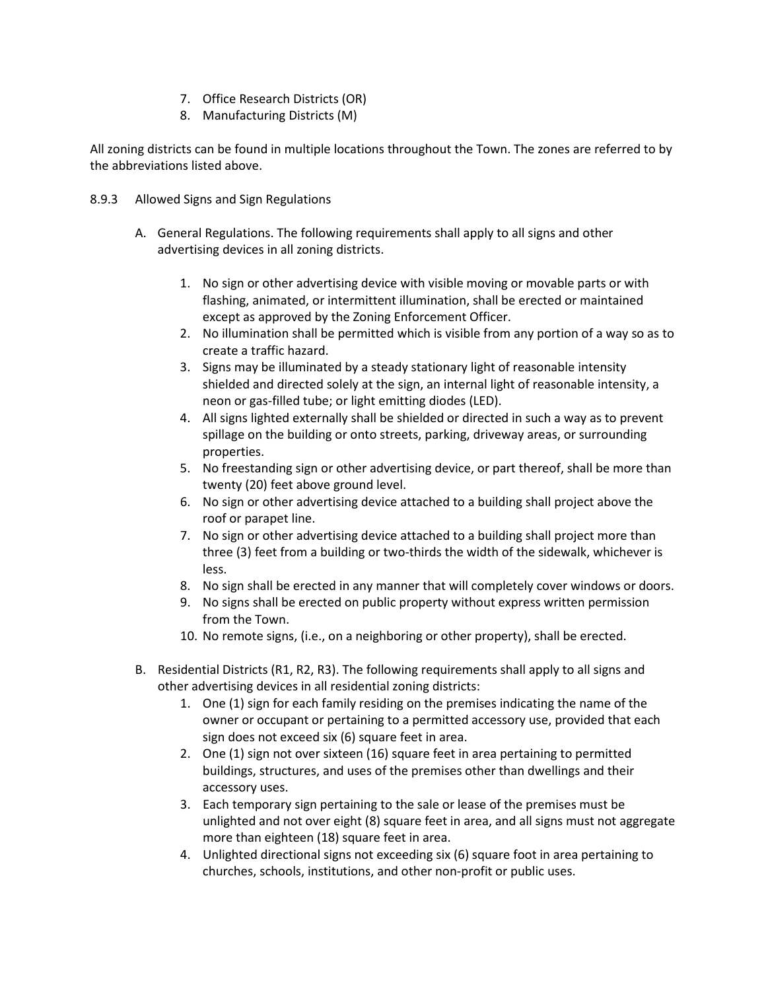- 7. Office Research Districts (OR)
- 8. Manufacturing Districts (M)

All zoning districts can be found in multiple locations throughout the Town. The zones are referred to by the abbreviations listed above.

- 8.9.3 Allowed Signs and Sign Regulations
	- A. General Regulations. The following requirements shall apply to all signs and other advertising devices in all zoning districts.
		- 1. No sign or other advertising device with visible moving or movable parts or with flashing, animated, or intermittent illumination, shall be erected or maintained except as approved by the Zoning Enforcement Officer.
		- 2. No illumination shall be permitted which is visible from any portion of a way so as to create a traffic hazard.
		- 3. Signs may be illuminated by a steady stationary light of reasonable intensity shielded and directed solely at the sign, an internal light of reasonable intensity, a neon or gas-filled tube; or light emitting diodes (LED).
		- 4. All signs lighted externally shall be shielded or directed in such a way as to prevent spillage on the building or onto streets, parking, driveway areas, or surrounding properties.
		- 5. No freestanding sign or other advertising device, or part thereof, shall be more than twenty (20) feet above ground level.
		- 6. No sign or other advertising device attached to a building shall project above the roof or parapet line.
		- 7. No sign or other advertising device attached to a building shall project more than three (3) feet from a building or two-thirds the width of the sidewalk, whichever is less.
		- 8. No sign shall be erected in any manner that will completely cover windows or doors.
		- 9. No signs shall be erected on public property without express written permission from the Town.
		- 10. No remote signs, (i.e., on a neighboring or other property), shall be erected.
	- B. Residential Districts (R1, R2, R3). The following requirements shall apply to all signs and other advertising devices in all residential zoning districts:
		- 1. One (1) sign for each family residing on the premises indicating the name of the owner or occupant or pertaining to a permitted accessory use, provided that each sign does not exceed six (6) square feet in area.
		- 2. One (1) sign not over sixteen (16) square feet in area pertaining to permitted buildings, structures, and uses of the premises other than dwellings and their accessory uses.
		- 3. Each temporary sign pertaining to the sale or lease of the premises must be unlighted and not over eight (8) square feet in area, and all signs must not aggregate more than eighteen (18) square feet in area.
		- 4. Unlighted directional signs not exceeding six (6) square foot in area pertaining to churches, schools, institutions, and other non-profit or public uses.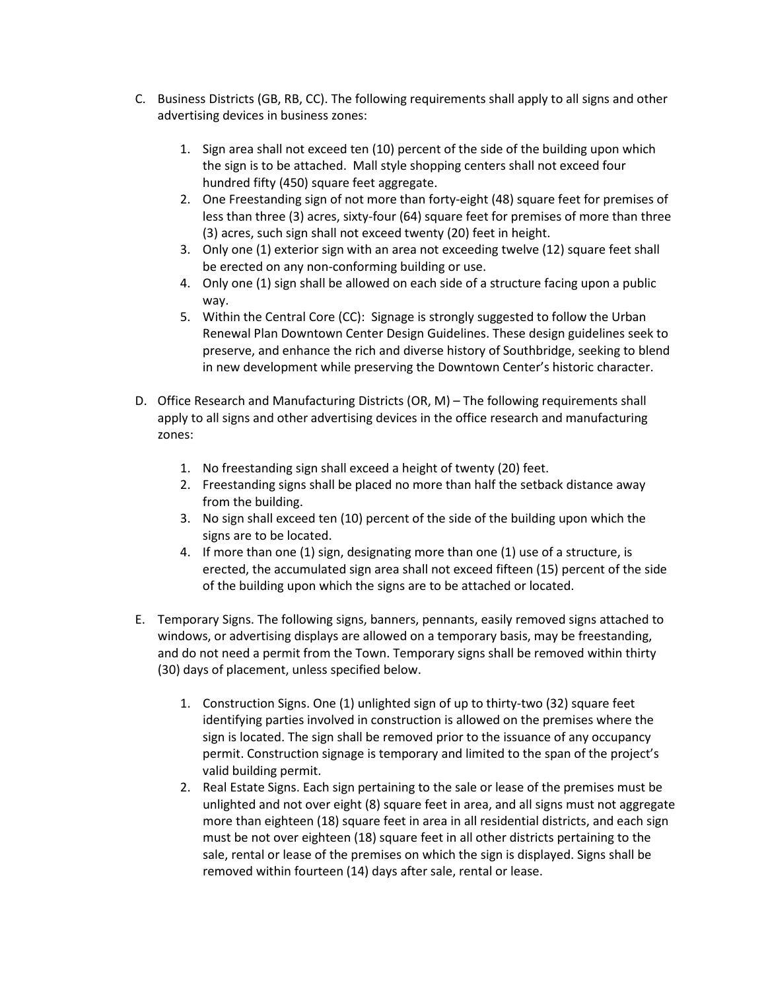- C. Business Districts (GB, RB, CC). The following requirements shall apply to all signs and other advertising devices in business zones:
	- 1. Sign area shall not exceed ten (10) percent of the side of the building upon which the sign is to be attached. Mall style shopping centers shall not exceed four hundred fifty (450) square feet aggregate.
	- 2. One Freestanding sign of not more than forty-eight (48) square feet for premises of less than three (3) acres, sixty-four (64) square feet for premises of more than three (3) acres, such sign shall not exceed twenty (20) feet in height.
	- 3. Only one (1) exterior sign with an area not exceeding twelve (12) square feet shall be erected on any non-conforming building or use.
	- 4. Only one (1) sign shall be allowed on each side of a structure facing upon a public way.
	- 5. Within the Central Core (CC): Signage is strongly suggested to follow the Urban Renewal Plan Downtown Center Design Guidelines. These design guidelines seek to preserve, and enhance the rich and diverse history of Southbridge, seeking to blend in new development while preserving the Downtown Center's historic character.
- D. Office Research and Manufacturing Districts (OR, M) The following requirements shall apply to all signs and other advertising devices in the office research and manufacturing zones:
	- 1. No freestanding sign shall exceed a height of twenty (20) feet.
	- 2. Freestanding signs shall be placed no more than half the setback distance away from the building.
	- 3. No sign shall exceed ten (10) percent of the side of the building upon which the signs are to be located.
	- 4. If more than one (1) sign, designating more than one (1) use of a structure, is erected, the accumulated sign area shall not exceed fifteen (15) percent of the side of the building upon which the signs are to be attached or located.
- E. Temporary Signs. The following signs, banners, pennants, easily removed signs attached to windows, or advertising displays are allowed on a temporary basis, may be freestanding, and do not need a permit from the Town. Temporary signs shall be removed within thirty (30) days of placement, unless specified below.
	- 1. Construction Signs. One (1) unlighted sign of up to thirty-two (32) square feet identifying parties involved in construction is allowed on the premises where the sign is located. The sign shall be removed prior to the issuance of any occupancy permit. Construction signage is temporary and limited to the span of the project's valid building permit.
	- 2. Real Estate Signs. Each sign pertaining to the sale or lease of the premises must be unlighted and not over eight (8) square feet in area, and all signs must not aggregate more than eighteen (18) square feet in area in all residential districts, and each sign must be not over eighteen (18) square feet in all other districts pertaining to the sale, rental or lease of the premises on which the sign is displayed. Signs shall be removed within fourteen (14) days after sale, rental or lease.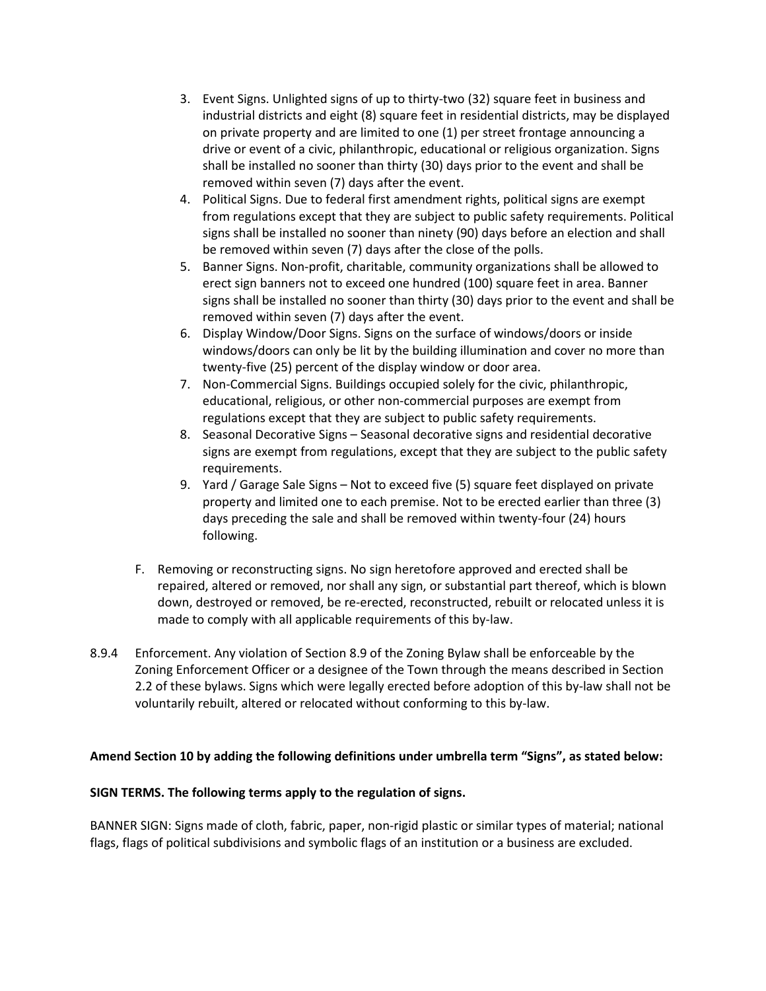- 3. Event Signs. Unlighted signs of up to thirty-two (32) square feet in business and industrial districts and eight (8) square feet in residential districts, may be displayed on private property and are limited to one (1) per street frontage announcing a drive or event of a civic, philanthropic, educational or religious organization. Signs shall be installed no sooner than thirty (30) days prior to the event and shall be removed within seven (7) days after the event.
- 4. Political Signs. Due to federal first amendment rights, political signs are exempt from regulations except that they are subject to public safety requirements. Political signs shall be installed no sooner than ninety (90) days before an election and shall be removed within seven (7) days after the close of the polls.
- 5. Banner Signs. Non-profit, charitable, community organizations shall be allowed to erect sign banners not to exceed one hundred (100) square feet in area. Banner signs shall be installed no sooner than thirty (30) days prior to the event and shall be removed within seven (7) days after the event.
- 6. Display Window/Door Signs. Signs on the surface of windows/doors or inside windows/doors can only be lit by the building illumination and cover no more than twenty-five (25) percent of the display window or door area.
- 7. Non-Commercial Signs. Buildings occupied solely for the civic, philanthropic, educational, religious, or other non-commercial purposes are exempt from regulations except that they are subject to public safety requirements.
- 8. Seasonal Decorative Signs Seasonal decorative signs and residential decorative signs are exempt from regulations, except that they are subject to the public safety requirements.
- 9. Yard / Garage Sale Signs Not to exceed five (5) square feet displayed on private property and limited one to each premise. Not to be erected earlier than three (3) days preceding the sale and shall be removed within twenty-four (24) hours following.
- F. Removing or reconstructing signs. No sign heretofore approved and erected shall be repaired, altered or removed, nor shall any sign, or substantial part thereof, which is blown down, destroyed or removed, be re-erected, reconstructed, rebuilt or relocated unless it is made to comply with all applicable requirements of this by-law.
- 8.9.4 Enforcement. Any violation of Section 8.9 of the Zoning Bylaw shall be enforceable by the Zoning Enforcement Officer or a designee of the Town through the means described in Section 2.2 of these bylaws. Signs which were legally erected before adoption of this by-law shall not be voluntarily rebuilt, altered or relocated without conforming to this by-law.

# **Amend Section 10 by adding the following definitions under umbrella term "Signs", as stated below:**

#### **SIGN TERMS. The following terms apply to the regulation of signs.**

BANNER SIGN: Signs made of cloth, fabric, paper, non-rigid plastic or similar types of material; national flags, flags of political subdivisions and symbolic flags of an institution or a business are excluded.